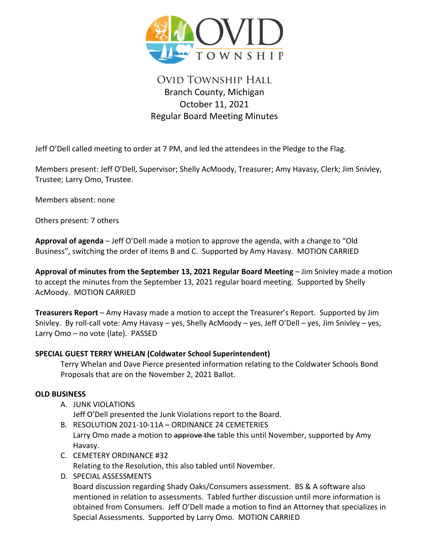

# Ovid Township Hall Branch County, Michigan October 11, 2021 Regular Board Meeting Minutes

Jeff O'Dell called meeting to order at 7 PM, and led the attendees in the Pledge to the Flag.

Members present: Jeff O'Dell, Supervisor; Shelly AcMoody, Treasurer; Amy Havasy, Clerk; Jim Snivley, Trustee; Larry Omo, Trustee.

Members absent: none

Others present: 7 others

**Approval of agenda** – Jeff O'Dell made a motion to approve the agenda, with a change to "Old Business", switching the order of items B and C. Supported by Amy Havasy. MOTION CARRIED

**Approval of minutes from the September 13, 2021 Regular Board Meeting** – Jim Snivley made a motion to accept the minutes from the September 13, 2021 regular board meeting. Supported by Shelly AcMoody. MOTION CARRIED

**Treasurers Report** – Amy Havasy made a motion to accept the Treasurer's Report. Supported by Jim Snivley. By roll-call vote: Amy Havasy – yes, Shelly AcMoody – yes, Jeff O'Dell – yes, Jim Snivley – yes, Larry Omo – no vote (late). PASSED

## **SPECIAL GUEST TERRY WHELAN (Coldwater School Superintendent)**

Terry Whelan and Dave Pierce presented information relating to the Coldwater Schools Bond Proposals that are on the November 2, 2021 Ballot.

## **OLD BUSINESS**

- A. JUNK VIOLATIONS Jeff O'Dell presented the Junk Violations report to the Board.
- B. RESOLUTION 2021-10-11A ORDINANCE 24 CEMETERIES Larry Omo made a motion to approve the table this until November, supported by Amy Havasy.
- C. CEMETERY ORDINANCE #32 Relating to the Resolution, this also tabled until November.
- D. SPECIAL ASSESSMENTS

Board discussion regarding Shady Oaks/Consumers assessment. BS & A software also mentioned in relation to assessments. Tabled further discussion until more information is obtained from Consumers. Jeff O'Dell made a motion to find an Attorney that specializes in Special Assessments. Supported by Larry Omo. MOTION CARRIED